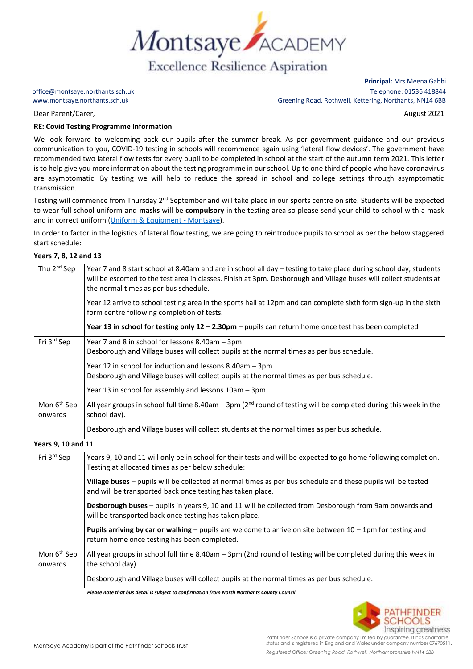

office@montsaye.northants.sch.uk Telephone: 01536 418844 www.montsaye.northants.sch.uk Greening Road, Rothwell, Kettering, Northants, NN14 6BB

Dear Parent/Carer, August 2021

## **RE: Covid Testing Programme Information**

We look forward to welcoming back our pupils after the summer break. As per government guidance and our previous communication to you, COVID-19 testing in schools will recommence again using 'lateral flow devices'. The government have recommended two lateral flow tests for every pupil to be completed in school at the start of the autumn term 2021. This letter is to help give you more information about the testing programme in our school. Up to one third of people who have coronavirus are asymptomatic. By testing we will help to reduce the spread in school and college settings through asymptomatic transmission.

Testing will commence from Thursday 2<sup>nd</sup> September and will take place in our sports centre on site. Students will be expected to wear full school uniform and **masks** will be **compulsory** in the testing area so please send your child to school with a mask and in correct uniform [\(Uniform & Equipment -](https://www.montsaye.northants.sch.uk/parents/uniform-and-equipment/) Montsaye).

In order to factor in the logistics of lateral flow testing, we are going to reintroduce pupils to school as per the below staggered start schedule:

## **Years 7, 8, 12 and 13**

| Thu 2 <sup>nd</sup> Sep            | Year 7 and 8 start school at 8.40am and are in school all day – testing to take place during school day, students<br>will be escorted to the test area in classes. Finish at 3pm. Desborough and Village buses will collect students at<br>the normal times as per bus schedule. |
|------------------------------------|----------------------------------------------------------------------------------------------------------------------------------------------------------------------------------------------------------------------------------------------------------------------------------|
|                                    | Year 12 arrive to school testing area in the sports hall at 12pm and can complete sixth form sign-up in the sixth<br>form centre following completion of tests.                                                                                                                  |
|                                    | Year 13 in school for testing only $12 - 2.30$ pm - pupils can return home once test has been completed                                                                                                                                                                          |
| Fri 3rd Sep                        | Year 7 and 8 in school for lessons 8.40am - 3pm<br>Desborough and Village buses will collect pupils at the normal times as per bus schedule.                                                                                                                                     |
|                                    | Year 12 in school for induction and lessons 8.40am - 3pm<br>Desborough and Village buses will collect pupils at the normal times as per bus schedule.<br>Year 13 in school for assembly and lessons 10am - 3pm                                                                   |
| Mon 6 <sup>th</sup> Sep<br>onwards | All year groups in school full time 8.40am – 3pm ( $2nd$ round of testing will be completed during this week in the<br>school day).                                                                                                                                              |
|                                    | Desborough and Village buses will collect students at the normal times as per bus schedule.                                                                                                                                                                                      |

**Years 9, 10 and 11**

| Fri 3rd Sep                        | Years 9, 10 and 11 will only be in school for their tests and will be expected to go home following completion.<br>Testing at allocated times as per below schedule:       |
|------------------------------------|----------------------------------------------------------------------------------------------------------------------------------------------------------------------------|
|                                    | Village buses - pupils will be collected at normal times as per bus schedule and these pupils will be tested<br>and will be transported back once testing has taken place. |
|                                    | Desborough buses - pupils in years 9, 10 and 11 will be collected from Desborough from 9am onwards and<br>will be transported back once testing has taken place.           |
|                                    | <b>Pupils arriving by car or walking</b> – pupils are welcome to arrive on site between $10 - 1$ pm for testing and<br>return home once testing has been completed.        |
| Mon 6 <sup>th</sup> Sep<br>onwards | All year groups in school full time 8.40am - 3pm (2nd round of testing will be completed during this week in<br>the school day).                                           |
|                                    | Desborough and Village buses will collect pupils at the normal times as per bus schedule.                                                                                  |
|                                    | Discos costo that has detailled achieve to configuration from North North with County Council.                                                                             |

*Please note that bus detail is subject to confirmation from North Northants County Council.*



**Principal:** Mrs Meena Gabbi